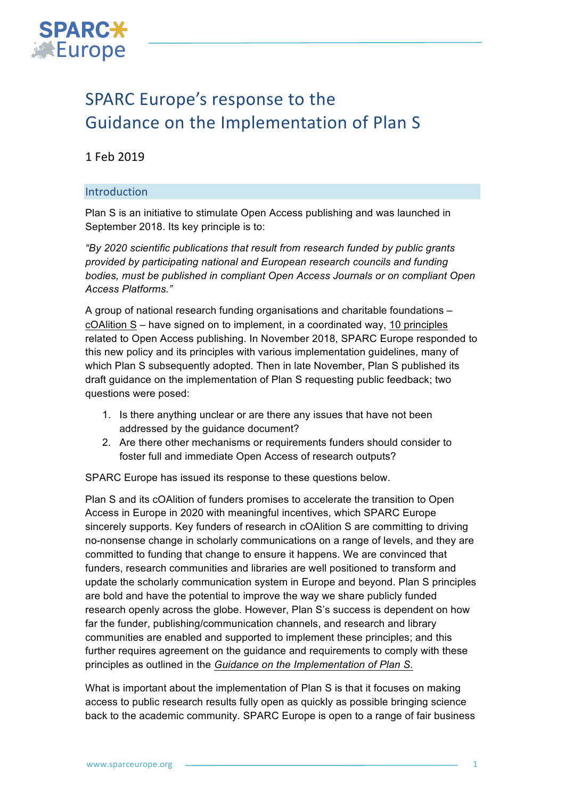

# SPARC Europe's response to the Guidance on the Implementation of Plan S

# 1 Feb 2019

## Introduction

Plan S is an initiative to stimulate Open Access publishing and was launched in September 2018. Its key principle is to:

*"By 2020 scientific publications that result from research funded by public grants provided by participating national and European research councils and funding bodies, must be published in compliant Open Access Journals or on compliant Open Access Platforms."*

A group of national research funding organisations and charitable foundations – cOAlition S – have signed on to implement, in a coordinated way, 10 principles related to Open Access publishing. In November 2018, SPARC Europe responded to this new policy and its principles with various implementation guidelines, many of which Plan S subsequently adopted. Then in late November, Plan S published its draft guidance on the implementation of Plan S requesting public feedback; two questions were posed:

- 1. Is there anything unclear or are there any issues that have not been addressed by the guidance document?
- 2. Are there other mechanisms or requirements funders should consider to foster full and immediate Open Access of research outputs?

SPARC Europe has issued its response to these questions below.

Plan S and its cOAlition of funders promises to accelerate the transition to Open Access in Europe in 2020 with meaningful incentives, which SPARC Europe sincerely supports. Key funders of research in cOAlition S are committing to driving no-nonsense change in scholarly communications on a range of levels, and they are committed to funding that change to ensure it happens. We are convinced that funders, research communities and libraries are well positioned to transform and update the scholarly communication system in Europe and beyond. Plan S principles are bold and have the potential to improve the way we share publicly funded research openly across the globe. However, Plan S's success is dependent on how far the funder, publishing/communication channels, and research and library communities are enabled and supported to implement these principles; and this further requires agreement on the guidance and requirements to comply with these principles as outlined in the *Guidance on the Implementation of Plan S.*

What is important about the implementation of Plan S is that it focuses on making access to public research results fully open as quickly as possible bringing science back to the academic community. SPARC Europe is open to a range of fair business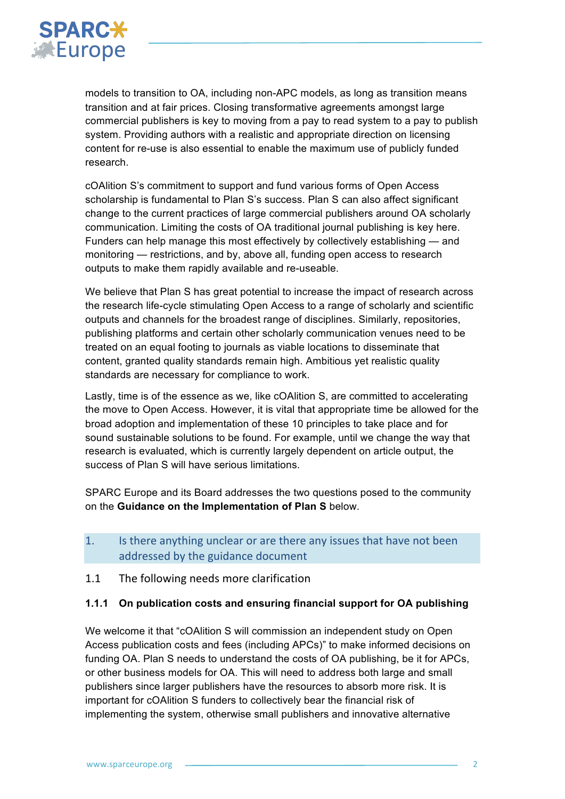

models to transition to OA, including non-APC models, as long as transition means transition and at fair prices. Closing transformative agreements amongst large commercial publishers is key to moving from a pay to read system to a pay to publish system. Providing authors with a realistic and appropriate direction on licensing content for re-use is also essential to enable the maximum use of publicly funded research.

cOAlition S's commitment to support and fund various forms of Open Access scholarship is fundamental to Plan S's success. Plan S can also affect significant change to the current practices of large commercial publishers around OA scholarly communication. Limiting the costs of OA traditional journal publishing is key here. Funders can help manage this most effectively by collectively establishing — and monitoring — restrictions, and by, above all, funding open access to research outputs to make them rapidly available and re-useable.

We believe that Plan S has great potential to increase the impact of research across the research life-cycle stimulating Open Access to a range of scholarly and scientific outputs and channels for the broadest range of disciplines. Similarly, repositories, publishing platforms and certain other scholarly communication venues need to be treated on an equal footing to journals as viable locations to disseminate that content, granted quality standards remain high. Ambitious yet realistic quality standards are necessary for compliance to work.

Lastly, time is of the essence as we, like cOAlition S, are committed to accelerating the move to Open Access. However, it is vital that appropriate time be allowed for the broad adoption and implementation of these 10 principles to take place and for sound sustainable solutions to be found. For example, until we change the way that research is evaluated, which is currently largely dependent on article output, the success of Plan S will have serious limitations.

SPARC Europe and its Board addresses the two questions posed to the community on the **Guidance on the Implementation of Plan S** below.

- 1. Is there anything unclear or are there any issues that have not been addressed by the guidance document
- 1.1 The following needs more clarification

#### **1.1.1 On publication costs and ensuring financial support for OA publishing**

We welcome it that "cOAlition S will commission an independent study on Open Access publication costs and fees (including APCs)" to make informed decisions on funding OA. Plan S needs to understand the costs of OA publishing, be it for APCs, or other business models for OA. This will need to address both large and small publishers since larger publishers have the resources to absorb more risk. It is important for cOAlition S funders to collectively bear the financial risk of implementing the system, otherwise small publishers and innovative alternative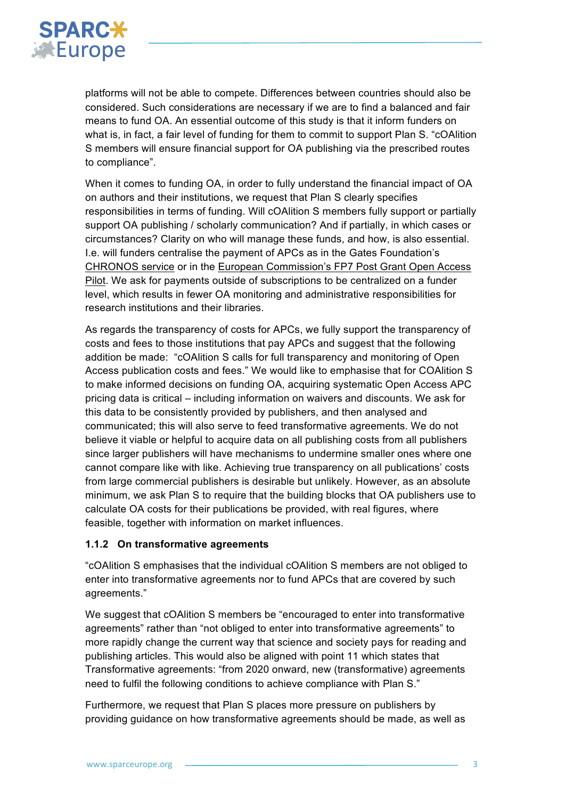

platforms will not be able to compete. Differences between countries should also be considered. Such considerations are necessary if we are to find a balanced and fair means to fund OA. An essential outcome of this study is that it inform funders on what is, in fact, a fair level of funding for them to commit to support Plan S. "cOAlition S members will ensure financial support for OA publishing via the prescribed routes to compliance".

When it comes to funding OA, in order to fully understand the financial impact of OA on authors and their institutions, we request that Plan S clearly specifies responsibilities in terms of funding. Will cOAlition S members fully support or partially support OA publishing / scholarly communication? And if partially, in which cases or circumstances? Clarity on who will manage these funds, and how, is also essential. I.e. will funders centralise the payment of APCs as in the Gates Foundation's CHRONOS service or in the European Commission's FP7 Post Grant Open Access Pilot. We ask for payments outside of subscriptions to be centralized on a funder level, which results in fewer OA monitoring and administrative responsibilities for research institutions and their libraries.

As regards the transparency of costs for APCs, we fully support the transparency of costs and fees to those institutions that pay APCs and suggest that the following addition be made: "cOAlition S calls for full transparency and monitoring of Open Access publication costs and fees." We would like to emphasise that for COAlition S to make informed decisions on funding OA, acquiring systematic Open Access APC pricing data is critical – including information on waivers and discounts. We ask for this data to be consistently provided by publishers, and then analysed and communicated; this will also serve to feed transformative agreements. We do not believe it viable or helpful to acquire data on all publishing costs from all publishers since larger publishers will have mechanisms to undermine smaller ones where one cannot compare like with like. Achieving true transparency on all publications' costs from large commercial publishers is desirable but unlikely. However, as an absolute minimum, we ask Plan S to require that the building blocks that OA publishers use to calculate OA costs for their publications be provided, with real figures, where feasible, together with information on market influences.

## **1.1.2 On transformative agreements**

"cOAlition S emphasises that the individual cOAlition S members are not obliged to enter into transformative agreements nor to fund APCs that are covered by such agreements."

We suggest that cOAlition S members be "encouraged to enter into transformative agreements" rather than "not obliged to enter into transformative agreements" to more rapidly change the current way that science and society pays for reading and publishing articles. This would also be aligned with point 11 which states that Transformative agreements: "from 2020 onward, new (transformative) agreements need to fulfil the following conditions to achieve compliance with Plan S."

Furthermore, we request that Plan S places more pressure on publishers by providing guidance on how transformative agreements should be made, as well as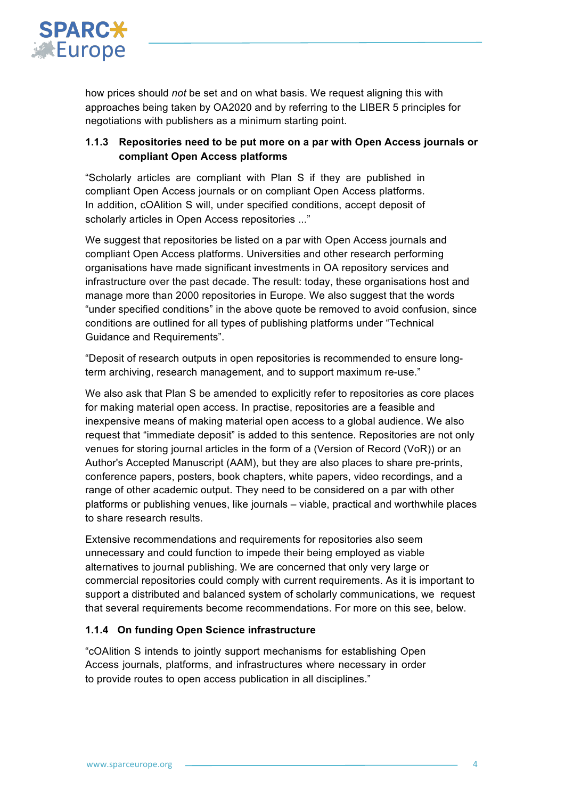

how prices should *not* be set and on what basis. We request aligning this with approaches being taken by OA2020 and by referring to the LIBER 5 principles for negotiations with publishers as a minimum starting point.

# **1.1.3 Repositories need to be put more on a par with Open Access journals or compliant Open Access platforms**

"Scholarly articles are compliant with Plan S if they are published in compliant Open Access journals or on compliant Open Access platforms. In addition, cOAlition S will, under specified conditions, accept deposit of scholarly articles in Open Access repositories ..."

We suggest that repositories be listed on a par with Open Access journals and compliant Open Access platforms. Universities and other research performing organisations have made significant investments in OA repository services and infrastructure over the past decade. The result: today, these organisations host and manage more than 2000 repositories in Europe. We also suggest that the words "under specified conditions" in the above quote be removed to avoid confusion, since conditions are outlined for all types of publishing platforms under "Technical Guidance and Requirements".

"Deposit of research outputs in open repositories is recommended to ensure longterm archiving, research management, and to support maximum re-use."

We also ask that Plan S be amended to explicitly refer to repositories as core places for making material open access. In practise, repositories are a feasible and inexpensive means of making material open access to a global audience. We also request that "immediate deposit" is added to this sentence. Repositories are not only venues for storing journal articles in the form of a (Version of Record (VoR)) or an Author's Accepted Manuscript (AAM), but they are also places to share pre-prints, conference papers, posters, book chapters, white papers, video recordings, and a range of other academic output. They need to be considered on a par with other platforms or publishing venues, like journals – viable, practical and worthwhile places to share research results.

Extensive recommendations and requirements for repositories also seem unnecessary and could function to impede their being employed as viable alternatives to journal publishing. We are concerned that only very large or commercial repositories could comply with current requirements. As it is important to support a distributed and balanced system of scholarly communications, we request that several requirements become recommendations. For more on this see, below.

## **1.1.4 On funding Open Science infrastructure**

"cOAlition S intends to jointly support mechanisms for establishing Open Access journals, platforms, and infrastructures where necessary in order to provide routes to open access publication in all disciplines."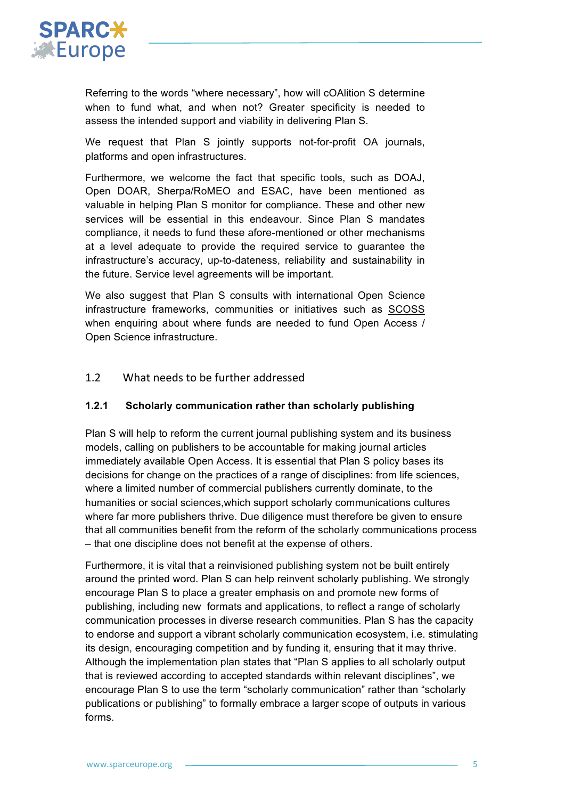

Referring to the words "where necessary", how will cOAlition S determine when to fund what, and when not? Greater specificity is needed to assess the intended support and viability in delivering Plan S.

We request that Plan S jointly supports not-for-profit OA journals, platforms and open infrastructures.

Furthermore, we welcome the fact that specific tools, such as DOAJ, Open DOAR, Sherpa/RoMEO and ESAC, have been mentioned as valuable in helping Plan S monitor for compliance. These and other new services will be essential in this endeavour. Since Plan S mandates compliance, it needs to fund these afore-mentioned or other mechanisms at a level adequate to provide the required service to guarantee the infrastructure's accuracy, up-to-dateness, reliability and sustainability in the future. Service level agreements will be important.

We also suggest that Plan S consults with international Open Science infrastructure frameworks, communities or initiatives such as SCOSS when enquiring about where funds are needed to fund Open Access / Open Science infrastructure.

## 1.2 What needs to be further addressed

#### **1.2.1 Scholarly communication rather than scholarly publishing**

Plan S will help to reform the current journal publishing system and its business models, calling on publishers to be accountable for making journal articles immediately available Open Access. It is essential that Plan S policy bases its decisions for change on the practices of a range of disciplines: from life sciences, where a limited number of commercial publishers currently dominate, to the humanities or social sciences,which support scholarly communications cultures where far more publishers thrive. Due diligence must therefore be given to ensure that all communities benefit from the reform of the scholarly communications process – that one discipline does not benefit at the expense of others.

Furthermore, it is vital that a reinvisioned publishing system not be built entirely around the printed word. Plan S can help reinvent scholarly publishing. We strongly encourage Plan S to place a greater emphasis on and promote new forms of publishing, including new formats and applications, to reflect a range of scholarly communication processes in diverse research communities. Plan S has the capacity to endorse and support a vibrant scholarly communication ecosystem, i.e. stimulating its design, encouraging competition and by funding it, ensuring that it may thrive. Although the implementation plan states that "Plan S applies to all scholarly output that is reviewed according to accepted standards within relevant disciplines", we encourage Plan S to use the term "scholarly communication" rather than "scholarly publications or publishing" to formally embrace a larger scope of outputs in various forms.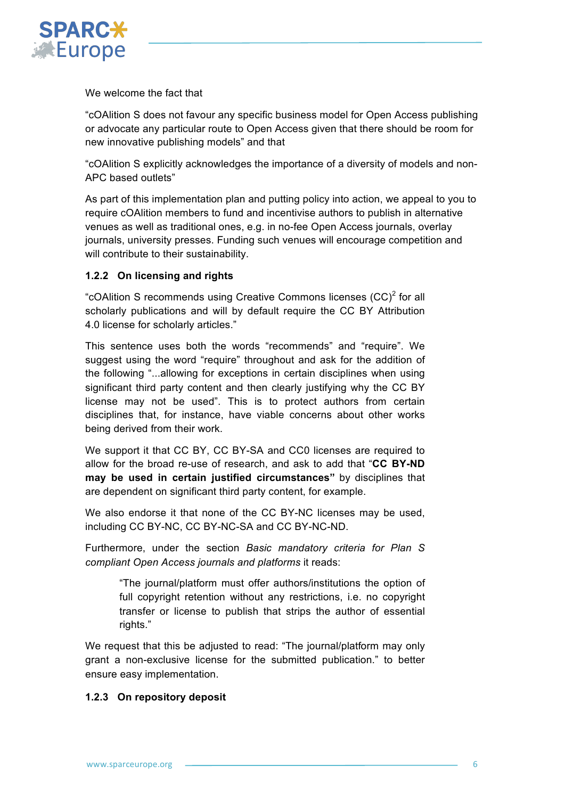

We welcome the fact that

"cOAlition S does not favour any specific business model for Open Access publishing or advocate any particular route to Open Access given that there should be room for new innovative publishing models" and that

"cOAlition S explicitly acknowledges the importance of a diversity of models and non-APC based outlets"

As part of this implementation plan and putting policy into action, we appeal to you to require cOAlition members to fund and incentivise authors to publish in alternative venues as well as traditional ones, e.g. in no-fee Open Access journals, overlay journals, university presses. Funding such venues will encourage competition and will contribute to their sustainability.

## **1.2.2 On licensing and rights**

"cOAlition S recommends using Creative Commons licenses  $(CC)^2$  for all scholarly publications and will by default require the CC BY Attribution 4.0 license for scholarly articles."

This sentence uses both the words "recommends" and "require". We suggest using the word "require" throughout and ask for the addition of the following "...allowing for exceptions in certain disciplines when using significant third party content and then clearly justifying why the CC BY license may not be used". This is to protect authors from certain disciplines that, for instance, have viable concerns about other works being derived from their work.

We support it that CC BY, CC BY-SA and CC0 licenses are required to allow for the broad re-use of research, and ask to add that "**CC BY-ND may be used in certain justified circumstances"** by disciplines that are dependent on significant third party content, for example.

We also endorse it that none of the CC BY-NC licenses may be used, including CC BY-NC, CC BY-NC-SA and CC BY-NC-ND.

Furthermore, under the section *Basic mandatory criteria for Plan S compliant Open Access journals and platforms* it reads:

"The journal/platform must offer authors/institutions the option of full copyright retention without any restrictions, i.e. no copyright transfer or license to publish that strips the author of essential rights."

We request that this be adjusted to read: "The journal/platform may only grant a non-exclusive license for the submitted publication." to better ensure easy implementation.

## **1.2.3 On repository deposit**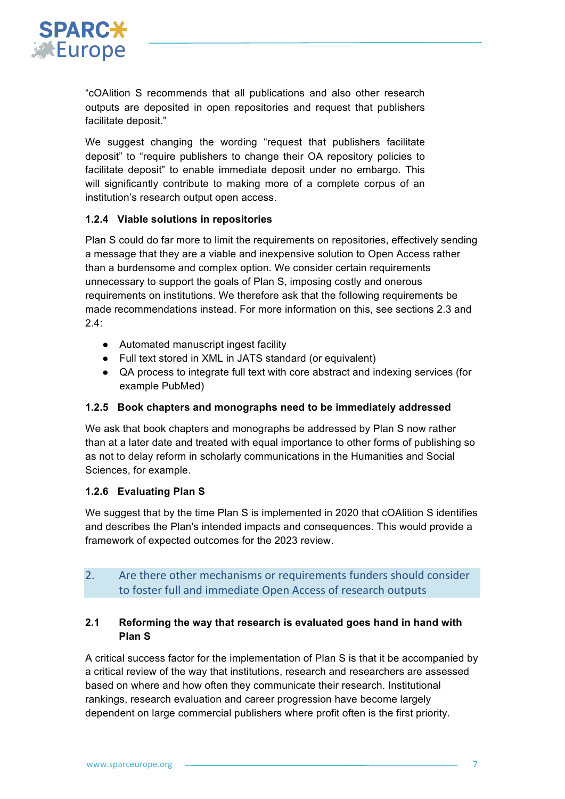

"cOAlition S recommends that all publications and also other research outputs are deposited in open repositories and request that publishers facilitate deposit."

We suggest changing the wording "request that publishers facilitate deposit" to "require publishers to change their OA repository policies to facilitate deposit" to enable immediate deposit under no embargo. This will significantly contribute to making more of a complete corpus of an institution's research output open access.

## **1.2.4 Viable solutions in repositories**

Plan S could do far more to limit the requirements on repositories, effectively sending a message that they are a viable and inexpensive solution to Open Access rather than a burdensome and complex option. We consider certain requirements unnecessary to support the goals of Plan S, imposing costly and onerous requirements on institutions. We therefore ask that the following requirements be made recommendations instead. For more information on this, see sections 2.3 and  $24.1$ 

- Automated manuscript ingest facility
- Full text stored in XML in JATS standard (or equivalent)
- QA process to integrate full text with core abstract and indexing services (for example PubMed)

## **1.2.5 Book chapters and monographs need to be immediately addressed**

We ask that book chapters and monographs be addressed by Plan S now rather than at a later date and treated with equal importance to other forms of publishing so as not to delay reform in scholarly communications in the Humanities and Social Sciences, for example.

# **1.2.6 Evaluating Plan S**

We suggest that by the time Plan S is implemented in 2020 that cOAlition S identifies and describes the Plan's intended impacts and consequences. This would provide a framework of expected outcomes for the 2023 review.

# 2. Are there other mechanisms or requirements funders should consider to foster full and immediate Open Access of research outputs

# **2.1 Reforming the way that research is evaluated goes hand in hand with Plan S**

A critical success factor for the implementation of Plan S is that it be accompanied by a critical review of the way that institutions, research and researchers are assessed based on where and how often they communicate their research. Institutional rankings, research evaluation and career progression have become largely dependent on large commercial publishers where profit often is the first priority.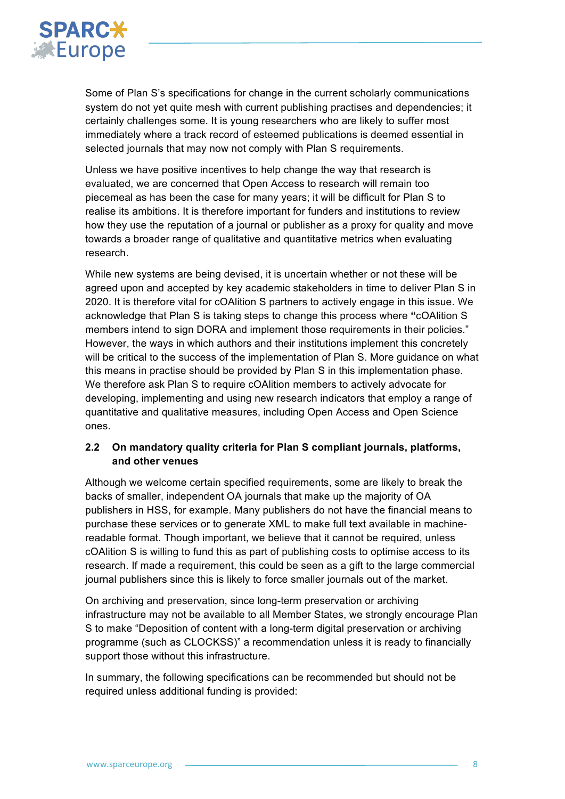

Some of Plan S's specifications for change in the current scholarly communications system do not yet quite mesh with current publishing practises and dependencies; it certainly challenges some. It is young researchers who are likely to suffer most immediately where a track record of esteemed publications is deemed essential in selected journals that may now not comply with Plan S requirements.

Unless we have positive incentives to help change the way that research is evaluated, we are concerned that Open Access to research will remain too piecemeal as has been the case for many years; it will be difficult for Plan S to realise its ambitions. It is therefore important for funders and institutions to review how they use the reputation of a journal or publisher as a proxy for quality and move towards a broader range of qualitative and quantitative metrics when evaluating research.

While new systems are being devised, it is uncertain whether or not these will be agreed upon and accepted by key academic stakeholders in time to deliver Plan S in 2020. It is therefore vital for cOAlition S partners to actively engage in this issue. We acknowledge that Plan S is taking steps to change this process where **"**cOAlition S members intend to sign DORA and implement those requirements in their policies." However, the ways in which authors and their institutions implement this concretely will be critical to the success of the implementation of Plan S. More guidance on what this means in practise should be provided by Plan S in this implementation phase. We therefore ask Plan S to require cOAlition members to actively advocate for developing, implementing and using new research indicators that employ a range of quantitative and qualitative measures, including Open Access and Open Science ones.

## **2.2 On mandatory quality criteria for Plan S compliant journals, platforms, and other venues**

Although we welcome certain specified requirements, some are likely to break the backs of smaller, independent OA journals that make up the majority of OA publishers in HSS, for example. Many publishers do not have the financial means to purchase these services or to generate XML to make full text available in machinereadable format. Though important, we believe that it cannot be required, unless cOAlition S is willing to fund this as part of publishing costs to optimise access to its research. If made a requirement, this could be seen as a gift to the large commercial journal publishers since this is likely to force smaller journals out of the market.

On archiving and preservation, since long-term preservation or archiving infrastructure may not be available to all Member States, we strongly encourage Plan S to make "Deposition of content with a long-term digital preservation or archiving programme (such as CLOCKSS)" a recommendation unless it is ready to financially support those without this infrastructure.

In summary, the following specifications can be recommended but should not be required unless additional funding is provided: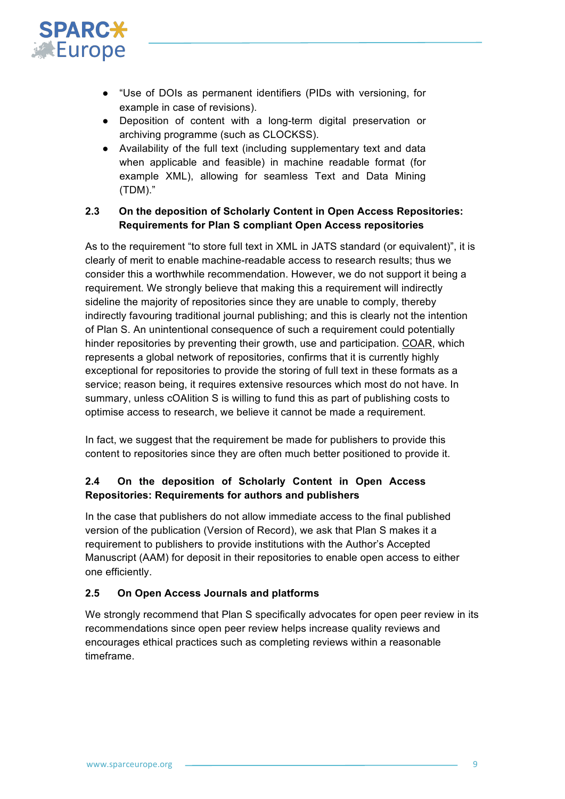

- "Use of DOIs as permanent identifiers (PIDs with versioning, for example in case of revisions).
- Deposition of content with a long-term digital preservation or archiving programme (such as CLOCKSS).
- Availability of the full text (including supplementary text and data when applicable and feasible) in machine readable format (for example XML), allowing for seamless Text and Data Mining (TDM)."

## **2.3 On the deposition of Scholarly Content in Open Access Repositories: Requirements for Plan S compliant Open Access repositories**

As to the requirement "to store full text in XML in JATS standard (or equivalent)", it is clearly of merit to enable machine-readable access to research results; thus we consider this a worthwhile recommendation. However, we do not support it being a requirement. We strongly believe that making this a requirement will indirectly sideline the majority of repositories since they are unable to comply, thereby indirectly favouring traditional journal publishing; and this is clearly not the intention of Plan S. An unintentional consequence of such a requirement could potentially hinder repositories by preventing their growth, use and participation. COAR, which represents a global network of repositories, confirms that it is currently highly exceptional for repositories to provide the storing of full text in these formats as a service; reason being, it requires extensive resources which most do not have. In summary, unless cOAlition S is willing to fund this as part of publishing costs to optimise access to research, we believe it cannot be made a requirement.

In fact, we suggest that the requirement be made for publishers to provide this content to repositories since they are often much better positioned to provide it.

# **2.4 On the deposition of Scholarly Content in Open Access Repositories: Requirements for authors and publishers**

In the case that publishers do not allow immediate access to the final published version of the publication (Version of Record), we ask that Plan S makes it a requirement to publishers to provide institutions with the Author's Accepted Manuscript (AAM) for deposit in their repositories to enable open access to either one efficiently.

# **2.5 On Open Access Journals and platforms**

We strongly recommend that Plan S specifically advocates for open peer review in its recommendations since open peer review helps increase quality reviews and encourages ethical practices such as completing reviews within a reasonable timeframe.